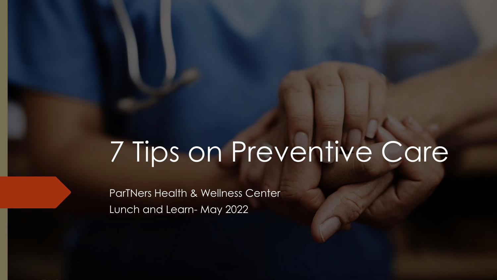# 7 Tips on Preventive Care

ParTNers Health & Wellness Center Lunch and Learn- May 2022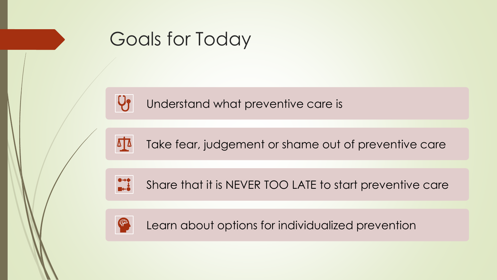

## Goals for Today

Understand what preventive care is

Take fear, judgement or shame out of preventive care



Share that it is NEVER TOO LATE to start preventive care



Learn about options for individualized prevention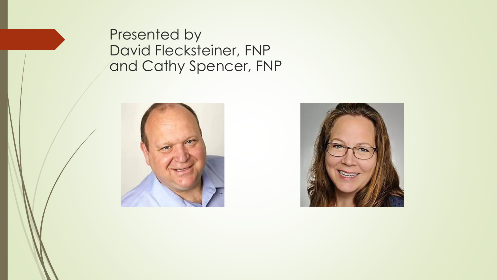Presented by David Flecksteiner, FNP and Cathy Spencer, FNP



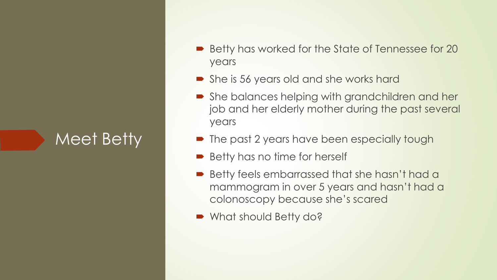Meet Betty

- Betty has worked for the State of Tennessee for 20 years
- She is 56 years old and she works hard
- She balances helping with grandchildren and her job and her elderly mother during the past several years
- The past 2 years have been especially tough
- Betty has no time for herself
- Betty feels embarrassed that she hasn't had a mammogram in over 5 years and hasn't had a colonoscopy because she's scared
- What should Betty do?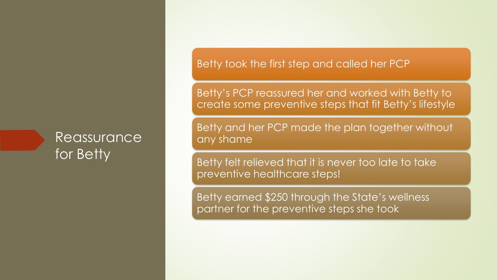#### Reassurance for Betty

Betty took the first step and called her PCP

Betty's PCP reassured her and worked with Betty to create some preventive steps that fit Betty's lifestyle

Betty and her PCP made the plan together without any shame

Betty felt relieved that it is never too late to take preventive healthcare steps!

Betty earned \$250 through the State's wellness partner for the preventive steps she took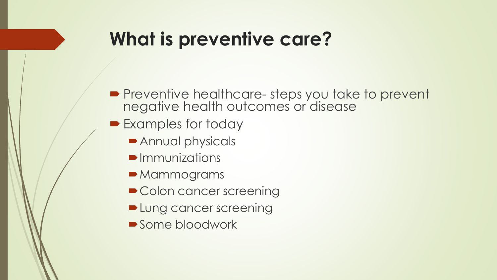### **What is preventive care?**

- **Preventive healthcare-steps you take to prevent** negative health outcomes or disease
- Examples for today
	- **Annual physicals**
	- $\blacksquare$ Immunizations
	- **Mammograms**
	- Colon cancer screening
	- **Delanged Lung cancer screening**
	- Some bloodwork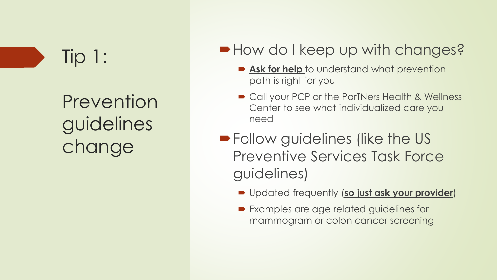### Tip 1:

Prevention guidelines change

#### How do I keep up with changes?

- **Ask for help** to understand what prevention path is right for you
- Call your PCP or the ParTNers Health & Wellness Center to see what individualized care you need
- **Follow guidelines (like the US** Preventive Services Task Force guidelines)
	- Updated frequently (**so just ask your provider**)
	- Examples are age related guidelines for mammogram or colon cancer screening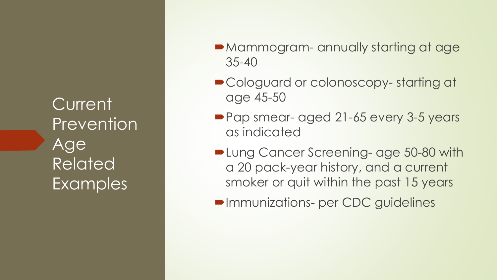**Current** Prevention Age Related Examples

- Mammogram- annually starting at age 35-40
- Cologuard or colonoscopy-starting at age 45-50
- Pap smear- aged 21-65 every 3-5 years as indicated
- **De Lung Cancer Screening- age 50-80 with** a 20 pack-year history, and a current smoker or quit within the past 15 years
- **Immunizations- per CDC guidelines**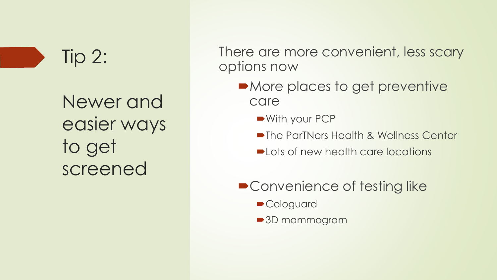### Tip 2:

Newer and easier ways to get screened

There are more convenient, less scary options now

- More places to get preventive care
	- ■With your PCP
	- **The ParTNers Health & Wellness Center**
	- **•Lots of new health care locations**
- Convenience of testing like
	- **Cologuard**
	- **3D mammogram**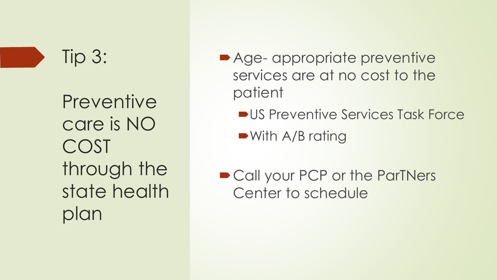### Tip 3:

**Preventive** care is NO COST through the state health plan

- Age- appropriate preventive services are at no cost to the patient
	- **US Preventive Services Task Force**

■With A/B rating

■ Call your PCP or the ParTNers Center to schedule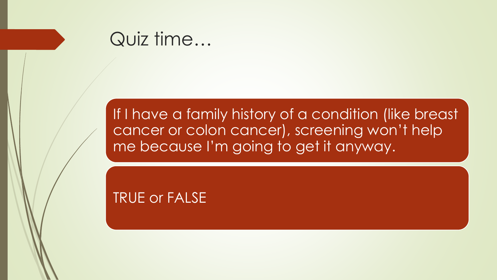

#### If I have a family history of a condition (like breast cancer or colon cancer), screening won't help me because I'm going to get it anyway.

TRUE or FALSE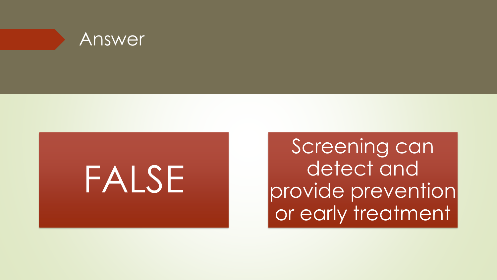



Screening can detect and provide prevention or early treatment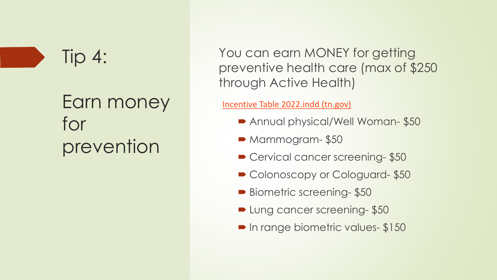#### Tip 4:

### Earn money for prevention

You can earn MONEY for getting preventive health care (max of \$250 through Active Health)

[Incentive Table 2022.indd \(tn.gov\)](https://www.tn.gov/content/dam/tn/finance/fa-benefits/documents/wellness_incentive_table_2022.pdf)

- Annual physical/Well Woman- \$50
- $\blacktriangleright$  Mammogram- \$50
- Cervical cancer screening-\$50
- Colonoscopy or Cologuard-\$50
- Biometric screening- \$50
- **Lung cancer screening-\$50**
- **In range biometric values- \$150**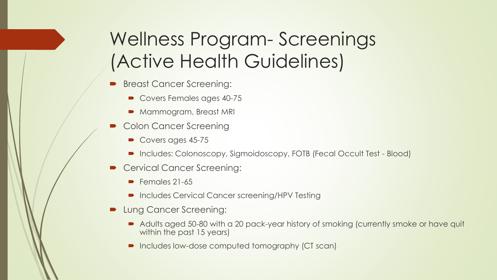### Wellness Program- Screenings (Active Health Guidelines)

- Breast Cancer Screening:
	- Covers Females ages 40-75
	- Mammogram, Breast MRI
- Colon Cancer Screening
	- Covers ages 45-75
	- Includes: Colonoscopy, Sigmoidoscopy, FOTB (Fecal Occult Test Blood)
- Cervical Cancer Screening:
	- $\blacktriangleright$  Females 21-65
	- Includes Cervical Cancer screening/HPV Testing
- **Lung Cancer Screening:** 
	- Adults aged 50-80 with a 20 pack-year history of smoking (currently smoke or have quit within the past 15 years)
	- Includes low-dose computed tomography (CT scan)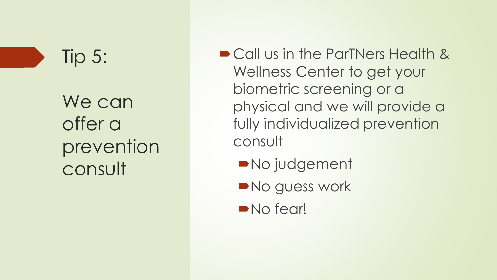### Tip 5:

We can offer a prevention consult

■ Call us in the ParTNers Health & Wellness Center to get your biometric screening or a physical and we will provide a fully individualized prevention consult

- **No judgement**
- No guess work
- No fear!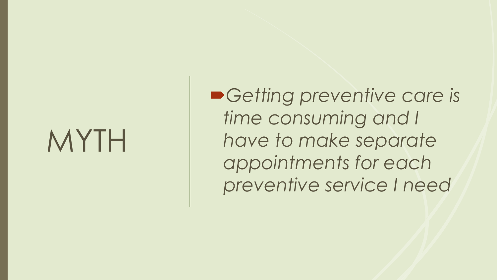# MYTH

*Getting preventive care is time consuming and I have to make separate appointments for each preventive service I need*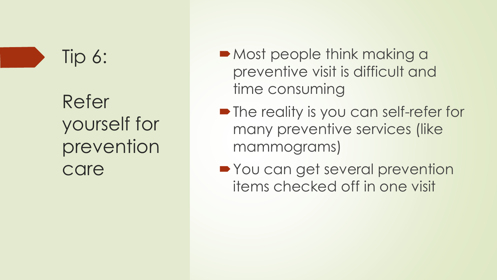### Tip 6:

Refer yourself for prevention care

- Most people think making a preventive visit is difficult and time consuming
- **The reality is you can self-refer for** many preventive services (like mammograms)
- **You can get several prevention** items checked off in one visit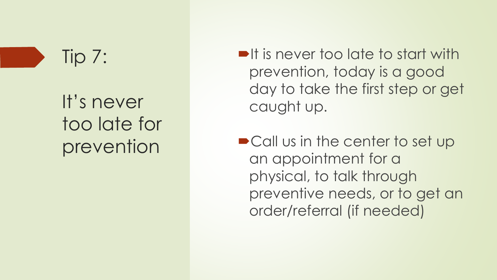Tip 7:

It's never too late for prevention

- $\blacksquare$ It is never too late to start with prevention, today is a good day to take the first step or get caught up.
- Call us in the center to set up an appointment for a physical, to talk through preventive needs, or to get an order/referral (if needed)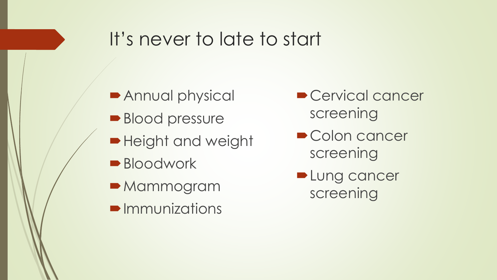#### It's never to late to start

- Annual physical
- Blood pressure
- **Height and weight**
- **Bloodwork**
- **Mammogram**
- **Immunizations**
- Cervical cancer screening
- Colon cancer screening
- **Lung cancer** screening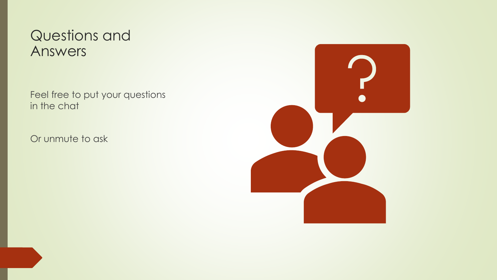#### Questions and Answers

Feel free to put your questions in the chat

Or unmute to ask

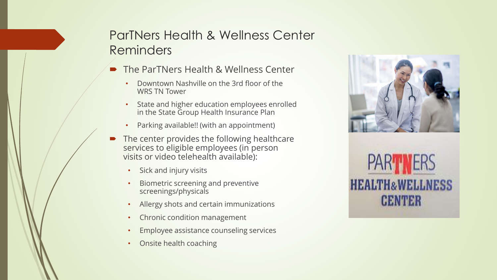#### ParTNers Health & Wellness Center Reminders

- The ParTNers Health & Wellness Center
	- Downtown Nashville on the 3rd floor of the WRS TN Tower
	- State and higher education employees enrolled in the State Group Health Insurance Plan
	- Parking available!! (with an appointment)
- The center provides the following healthcare services to eligible employees (in person visits or video telehealth available):
	- Sick and injury visits
	- Biometric screening and preventive screenings/physicals
	- Allergy shots and certain immunizations
	- Chronic condition management
	- Employee assistance counseling services
	- Onsite health coaching